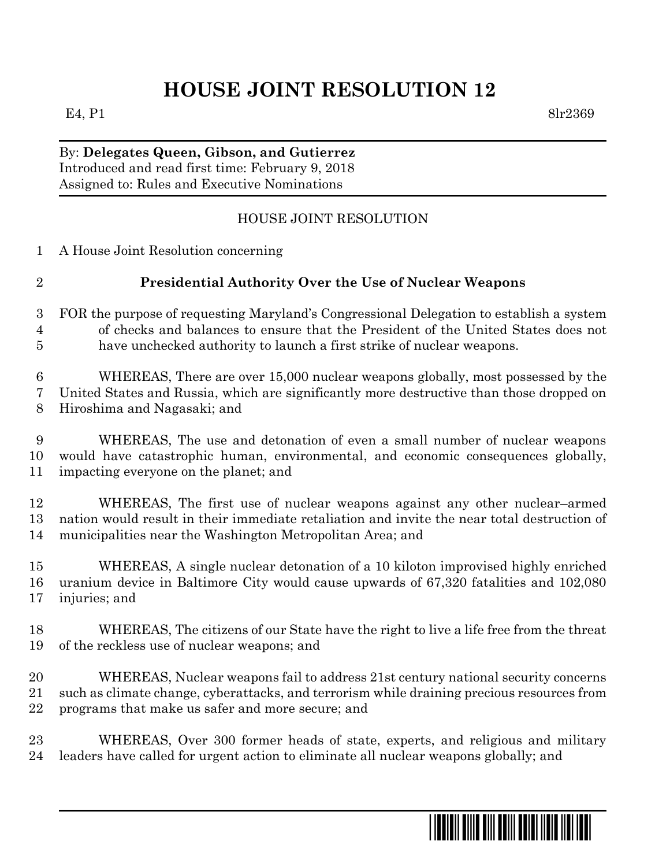# **HOUSE JOINT RESOLUTION 12**

E4, P1 8lr2369

### By: **Delegates Queen, Gibson, and Gutierrez** Introduced and read first time: February 9, 2018 Assigned to: Rules and Executive Nominations

## HOUSE JOINT RESOLUTION

| $\mathbf{1}$     | A House Joint Resolution concerning                                                         |
|------------------|---------------------------------------------------------------------------------------------|
| $\overline{2}$   | Presidential Authority Over the Use of Nuclear Weapons                                      |
| $\boldsymbol{3}$ | FOR the purpose of requesting Maryland's Congressional Delegation to establish a system     |
| 4                | of checks and balances to ensure that the President of the United States does not           |
| 5                | have unchecked authority to launch a first strike of nuclear weapons.                       |
| 6                | WHEREAS, There are over 15,000 nuclear weapons globally, most possessed by the              |
| 7                | United States and Russia, which are significantly more destructive than those dropped on    |
| 8                | Hiroshima and Nagasaki; and                                                                 |
| $\boldsymbol{9}$ | WHEREAS, The use and detonation of even a small number of nuclear weapons                   |
| 10               | would have catastrophic human, environmental, and economic consequences globally,           |
| 11               | impacting everyone on the planet; and                                                       |
| 12               | WHEREAS, The first use of nuclear weapons against any other nuclear-armed                   |
| 13               | nation would result in their immediate retaliation and invite the near total destruction of |
| 14               | municipalities near the Washington Metropolitan Area; and                                   |
| 15               | WHEREAS, A single nuclear detonation of a 10 kiloton improvised highly enriched             |
| 16               | uranium device in Baltimore City would cause upwards of 67,320 fatalities and 102,080       |
| 17               | injuries; and                                                                               |
| 18               | WHEREAS, The citizens of our State have the right to live a life free from the threat       |
| 19               | of the reckless use of nuclear weapons; and                                                 |
| 20               | WHEREAS, Nuclear weapons fail to address 21st century national security concerns            |
| 21               | such as climate change, cyberattacks, and terrorism while draining precious resources from  |
| 22               | programs that make us safer and more secure; and                                            |

 WHEREAS, Over 300 former heads of state, experts, and religious and military leaders have called for urgent action to eliminate all nuclear weapons globally; and